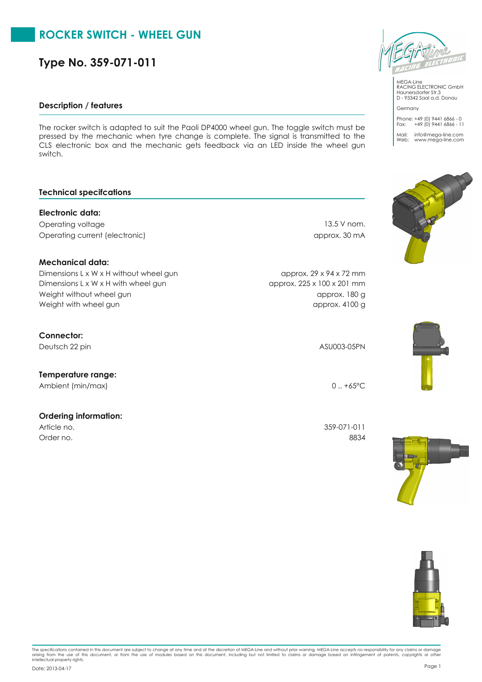# **ROCKER SWITCH - WHEEL GUN**

**Type No. 359-071-011**

## **Description / features**

The rocker switch is adapted to suit the Paoli DP4000 wheel gun. The toggle switch must be pressed by the mechanic when tyre change is complete. The signal is transmitted to the CLS electronic box and the mechanic gets feedback via an LED inside the wheel gun switch.

## **Technical specifcations**

# **Electronic data:**

Operating voltage 13.5 V nom. Operating current (electronic) approx. 30 mA

# **Mechanical data:**

Dimensions L x W x H without wheel gun approx. 29 x 94 x 72 mm Weight without wheel gun approx. 180 g Dimensions L x W x H with wheel gun approx. 225 x 100 x 201 mm Weight with wheel gun approx. 4100 g

# **Connector:**

Deutsch 22 pin ASU003-05PN

# **Temperature range:**

Ambient (min/max) 0 ... +65°C

## **Ordering information:**

Order no. 8834

Article no. 359-071-011

The specifications contained in this document are subject to change at any time and at the discretion of MEGA-Line and without prior warning. MEGA-Line accepts no responsibility for any claims or damage<br>arising from the us Page <sup>1</sup> Date: 2013-04-17



MEGA-Line RACING ELECTRONIC GmbH Haunersdorfer Str.3 D - 93342 Saal a.d. Donau

Phone: +49 (0) 9441 6866 - 0 Fax: +49 (0) 9441 6866 - 11

Germany